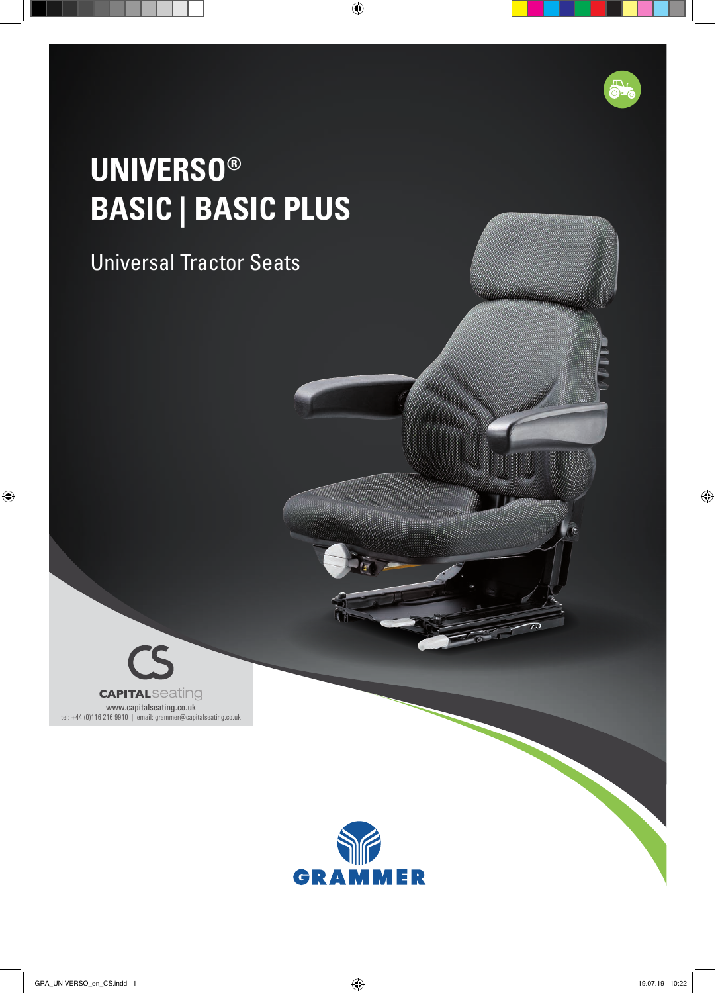# **UNIVERSO® BASIC | BASIC PLUS**

### Universal Tractor Seats

www.capitalseating.co.uk tel: +44 (0)116 216 9910 | email: grammer@capitalseating.co.uk

**CAPITALSeating**